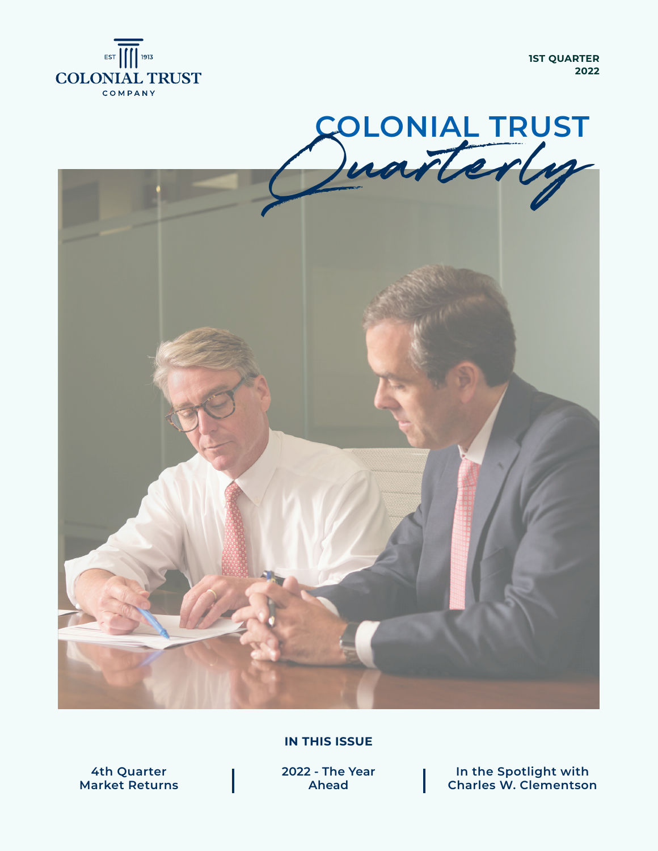

**1ST QUARTER 2022**



**IN THIS ISSUE**

**4th Quarter Market Returns** **2022 - The Year Ahead**

**In the Spotlight with Charles W. Clementson**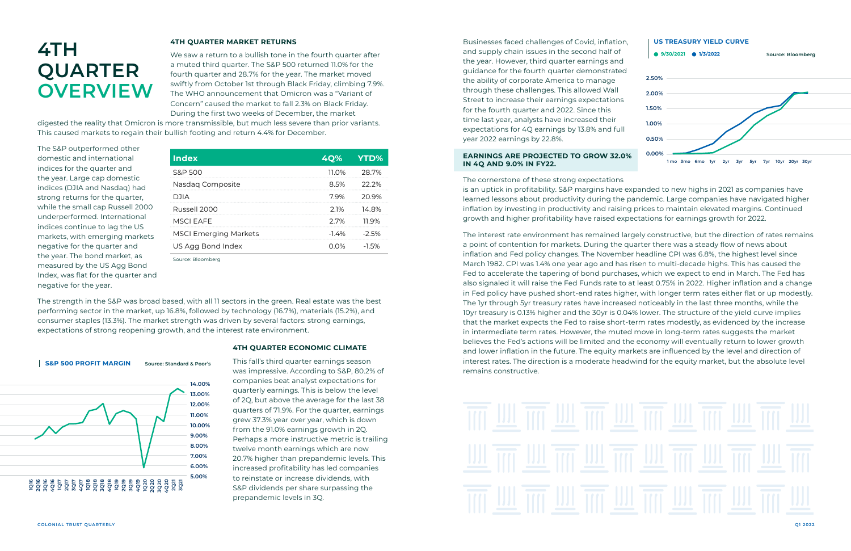#### **4TH QUARTER MARKET RETURNS**

We saw a return to a bullish tone in the fourth quarter after a muted third quarter. The S&P 500 returned 11.0% for the fourth quarter and 28.7% for the year. The market moved swiftly from October 1st through Black Friday, climbing 7.9%. The WHO announcement that Omicron was a "Variant of Concern" caused the market to fall 2.3% on Black Friday. During the first two weeks of December, the market

digested the reality that Omicron is more transmissible, but much less severe than prior variants. This caused markets to regain their bullish footing and return 4.4% for December.

The S&P outperformed other domestic and international indices for the quarter and the year. Large cap domestic indices (DJIA and Nasdaq) had strong returns for the quarter, while the small cap Russell 2000 underperformed. International indices continue to lag the US markets, with emerging markets negative for the quarter and the year. The bond market, as measured by the US Agg Bond Index, was flat for the quarter and negative for the year.

The strength in the S&P was broad based, with all 11 sectors in the green. Real estate was the best performing sector in the market, up 16.8%, followed by technology (16.7%), materials (15.2%), and consumer staples (13.3%). The market strength was driven by several factors: strong earnings, expectations of strong reopening growth, and the interest rate environment.

**4TH QUARTER ECONOMIC CLIMATE**

This fall's third quarter earnings season was impressive. According to S&P, 80.2% of companies beat analyst expectations for quarterly earnings. This is below the level of 2Q, but above the average for the last 38 quarters of 71.9%. For the quarter, earnings grew 37.3% year over year, which is down from the 91.0% earnings growth in 2Q. Perhaps a more instructive metric is trailing twelve month earnings which are now 20.7% higher than prepandemic levels. This increased profitability has led companies to reinstate or increase dividends, with S&P dividends per share surpassing the prepandemic levels in 3Q.

## **4TH QUARTER OVERVIEW**

| <b>Index</b>                 | 4Q%      | <b>YTD%</b> |
|------------------------------|----------|-------------|
| S&P 500                      | 11.0%    | 28.7%       |
| Nasdag Composite             | 8.5%     | $22.2\%$    |
| DJIA                         | 79%      | 20.9%       |
| Russell 2000                 | 21%      | 14.8%       |
| MSCI FAFF                    | 2.7%     | 11 9%       |
| <b>MSCI Emerging Markets</b> | $-1.4\%$ | $-2.5%$     |
| US Agg Bond Index            | $0.0\%$  | $-1.5%$     |
| C - - - . D I - - . - L -    |          |             |

Source: Bloomberg

Businesses faced challenges of Covid, inflation, and supply chain issues in the second half of the year. However, third quarter earnings and guidance for the fourth quarter demonstrated the ability of corporate America to manage through these challenges. This allowed Wall Street to increase their earnings expectations for the fourth quarter and 2022. Since this time last year, analysts have increased their expectations for 4Q earnings by 13.8% and full year 2022 earnings by 22.8%.

#### **EARNINGS ARE PROJECTED TO GROW 32.0% IN 4Q AND 9.0% IN FY22.**

The cornerstone of these strong expectations is an uptick in profitability. S&P margins have expanded to new highs in 2021 as companies have learned lessons about productivity during the pandemic. Large companies have navigated higher inflation by investing in productivity and raising prices to maintain elevated margins. Continued growth and higher profitability have raised expectations for earnings growth for 2022.

The interest rate environment has remained largely constructive, but the direction of rates remains a point of contention for markets. During the quarter there was a steady flow of news about inflation and Fed policy changes. The November headline CPI was 6.8%, the highest level since March 1982. CPI was 1.4% one year ago and has risen to multi-decade highs. This has caused the Fed to accelerate the tapering of bond purchases, which we expect to end in March. The Fed has also signaled it will raise the Fed Funds rate to at least 0.75% in 2022. Higher inflation and a change in Fed policy have pushed short-end rates higher, with longer term rates either flat or up modestly. The 1yr through 5yr treasury rates have increased noticeably in the last three months, while the 10yr treasury is 0.13% higher and the 30yr is 0.04% lower. The structure of the yield curve implies that the market expects the Fed to raise short-term rates modestly, as evidenced by the increase in intermediate term rates. However, the muted move in long-term rates suggests the market believes the Fed's actions will be limited and the economy will eventually return to lower growth and lower inflation in the future. The equity markets are influenced by the level and direction of interest rates. The direction is a moderate headwind for the equity market, but the absolute level remains constructive.



## 而业而业而业而业而业而业而



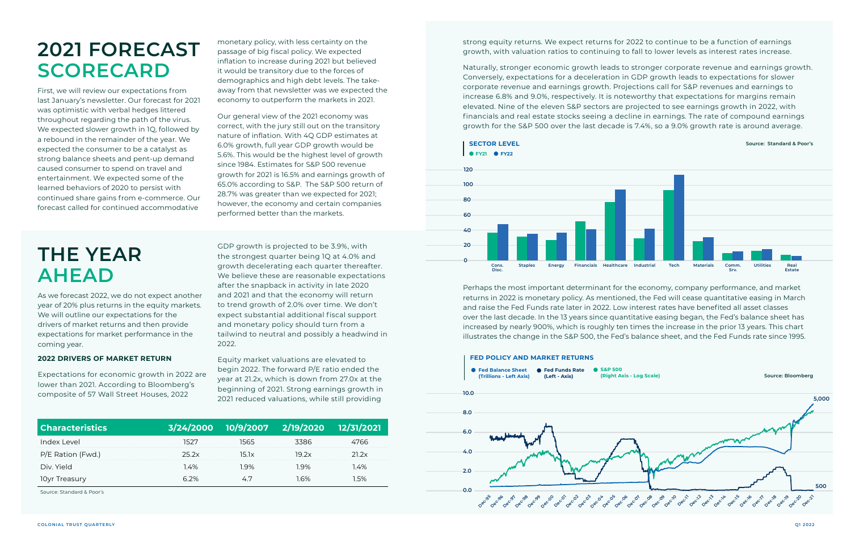strong equity returns. We expect returns for 2022 to continue to be a function of earnings growth, with valuation ratios to continuing to fall to lower levels as interest rates increase.

Naturally, stronger economic growth leads to stronger corporate revenue and earnings growth. Conversely, expectations for a deceleration in GDP growth leads to expectations for slower corporate revenue and earnings growth. Projections call for S&P revenues and earnings to increase 6.8% and 9.0%, respectively. It is noteworthy that expectations for margins remain elevated. Nine of the eleven S&P sectors are projected to see earnings growth in 2022, with financials and real estate stocks seeing a decline in earnings. The rate of compound earnings growth for the S&P 500 over the last decade is 7.4%, so a 9.0% growth rate is around average.

Perhaps the most important determinant for the economy, company performance, and market returns in 2022 is monetary policy. As mentioned, the Fed will cease quantitative easing in March and raise the Fed Funds rate later in 2022. Low interest rates have benefited all asset classes over the last decade. In the 13 years since quantitative easing began, the Fed's balance sheet has increased by nearly 900%, which is roughly ten times the increase in the prior 13 years. This chart illustrates the change in the S&P 500, the Fed's balance sheet, and the Fed Funds rate since 1995.

## **THE YEAR AHEAD**

As we forecast 2022, we do not expect another year of 20% plus returns in the equity markets. We will outline our expectations for the drivers of market returns and then provide expectations for market performance in the coming year.

#### **2022 DRIVERS OF MARKET RETURN**

Expectations for economic growth in 2022 are lower than 2021. According to Bloomberg's composite of 57 Wall Street Houses, 2022

GDP growth is projected to be 3.9%, with the strongest quarter being 1Q at 4.0% and growth decelerating each quarter thereafter. We believe these are reasonable expectations after the snapback in activity in late 2020 and 2021 and that the economy will return to trend growth of 2.0% over time. We don't expect substantial additional fiscal support and monetary policy should turn from a tailwind to neutral and possibly a headwind in 2022.

#### **SECTOR LEVEL SECTOR LEVEL Source: Standard & Poor's FY21 FY22**

Equity market valuations are elevated to begin 2022. The forward P/E ratio ended the year at 21.2x, which is down from 27.0x at the beginning of 2021. Strong earnings growth in 2021 reduced valuations, while still providing

### **2021 FORECAST SCORECARD**

First, we will review our expectations from last January's newsletter. Our forecast for 2021 was optimistic with verbal hedges littered throughout regarding the path of the virus. We expected slower growth in 1Q, followed by a rebound in the remainder of the year. We expected the consumer to be a catalyst as strong balance sheets and pent-up demand caused consumer to spend on travel and entertainment. We expected some of the learned behaviors of 2020 to persist with continued share gains from e-commerce. Our forecast called for continued accommodative

monetary policy, with less certainty on the passage of big fiscal policy. We expected inflation to increase during 2021 but believed it would be transitory due to the forces of demographics and high debt levels. The takeaway from that newsletter was we expected the economy to outperform the markets in 2021.

Our general view of the 2021 economy was correct, with the jury still out on the transitory nature of inflation. With 4Q GDP estimates at 6.0% growth, full year GDP growth would be 5.6%. This would be the highest level of growth since 1984. Estimates for S&P 500 revenue growth for 2021 is 16.5% and earnings growth of 65.0% according to S&P. The S&P 500 return of 28.7% was greater than we expected for 2021; however, the economy and certain companies performed better than the markets.





| <b>Characteristics</b> | 3/24/2000 | 10/9/2007 | 2/19/2020 | 12/31/2021 |
|------------------------|-----------|-----------|-----------|------------|
| Index Level            |           |           | 386       | 'hh        |
| P/E Ration (Fwd.)      | 25 ZX     | 15 IX     | 19.2x     | 21 2x      |
| Div. Yield             | l 4%      | $Q\%$     | 9%        | 4%         |
| 10yr Treasury          |           |           |           |            |

Source: Standard & Poor's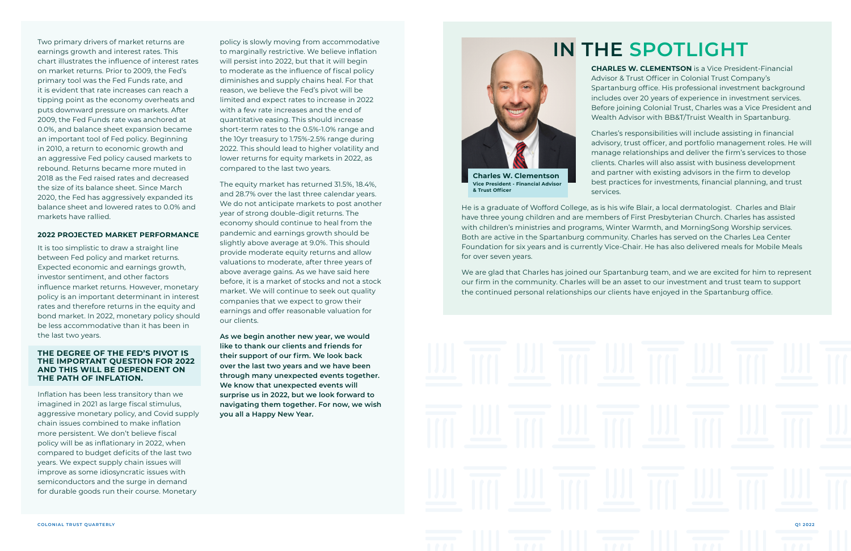Two primary drivers of market returns are earnings growth and interest rates. This chart illustrates the influence of interest rates on market returns. Prior to 2009, the Fed's primary tool was the Fed Funds rate, and it is evident that rate increases can reach a tipping point as the economy overheats and puts downward pressure on markets. After 2009, the Fed Funds rate was anchored at 0.0%, and balance sheet expansion became an important tool of Fed policy. Beginning in 2010, a return to economic growth and an aggressive Fed policy caused markets to rebound. Returns became more muted in 2018 as the Fed raised rates and decreased the size of its balance sheet. Since March 2020, the Fed has aggressively expanded its balance sheet and lowered rates to 0.0% and markets have rallied.

#### **2022 PROJECTED MARKET PERFORMANCE**

It is too simplistic to draw a straight line between Fed policy and market returns. Expected economic and earnings growth, investor sentiment, and other factors influence market returns. However, monetary policy is an important determinant in interest rates and therefore returns in the equity and bond market. In 2022, monetary policy should be less accommodative than it has been in the last two years.

#### **THE DEGREE OF THE FED'S PIVOT IS THE IMPORTANT QUESTION FOR 2022 AND THIS WILL BE DEPENDENT ON THE PATH OF INFLATION.**

Inflation has been less transitory than we imagined in 2021 as large fiscal stimulus, aggressive monetary policy, and Covid supply chain issues combined to make inflation more persistent. We don't believe fiscal policy will be as inflationary in 2022, when compared to budget deficits of the last two years. We expect supply chain issues will improve as some idiosyncratic issues with semiconductors and the surge in demand for durable goods run their course. Monetary

policy is slowly moving from accommodative to marginally restrictive. We believe inflation will persist into 2022, but that it will begin to moderate as the influence of fiscal policy diminishes and supply chains heal. For that reason, we believe the Fed's pivot will be limited and expect rates to increase in 2022 with a few rate increases and the end of quantitative easing. This should increase short-term rates to the 0.5%-1.0% range and the 10yr treasury to 1.75%-2.5% range during 2022. This should lead to higher volatility and lower returns for equity markets in 2022, as compared to the last two years.

The equity market has returned 31.5%, 18.4%, and 28.7% over the last three calendar years. We do not anticipate markets to post another year of strong double-digit returns. The economy should continue to heal from the pandemic and earnings growth should be slightly above average at 9.0%. This should provide moderate equity returns and allow valuations to moderate, after three years of above average gains. As we have said here before, it is a market of stocks and not a stock market. We will continue to seek out quality companies that we expect to grow their earnings and offer reasonable valuation for our clients.

**As we begin another new year, we would like to thank our clients and friends for their support of our firm. We look back over the last two years and we have been through many unexpected events together. We know that unexpected events will surprise us in 2022, but we look forward to navigating them together. For now, we wish you all a Happy New Year.** 

**CHARLES W. CLEMENTSON** is a Vice President-Financial Advisor & Trust Officer in Colonial Trust Company's Spartanburg office. His professional investment background includes over 20 years of experience in investment services. Before joining Colonial Trust, Charles was a Vice President and Wealth Advisor with BB&T/Truist Wealth in Spartanburg.

Charles's responsibilities will include assisting in financial advisory, trust officer, and portfolio management roles. He will manage relationships and deliver the firm's services to those clients. Charles will also assist with business development and partner with existing advisors in the firm to develop best practices for investments, financial planning, and trust

services.

He is a graduate of Wofford College, as is his wife Blair, a local dermatologist. Charles and Blair have three young children and are members of First Presbyterian Church. Charles has assisted with children's ministries and programs, Winter Warmth, and MorningSong Worship services. Both are active in the Spartanburg community. Charles has served on the Charles Lea Center Foundation for six years and is currently Vice-Chair. He has also delivered meals for Mobile Meals for over seven years.

We are glad that Charles has joined our Spartanburg team, and we are excited for him to represent our firm in the community. Charles will be an asset to our investment and trust team to support the continued personal relationships our clients have enjoyed in the Spartanburg office.



**Vice President - Financial Advisor & Trust Officer**

## **IN THE SPOTLIGHT**